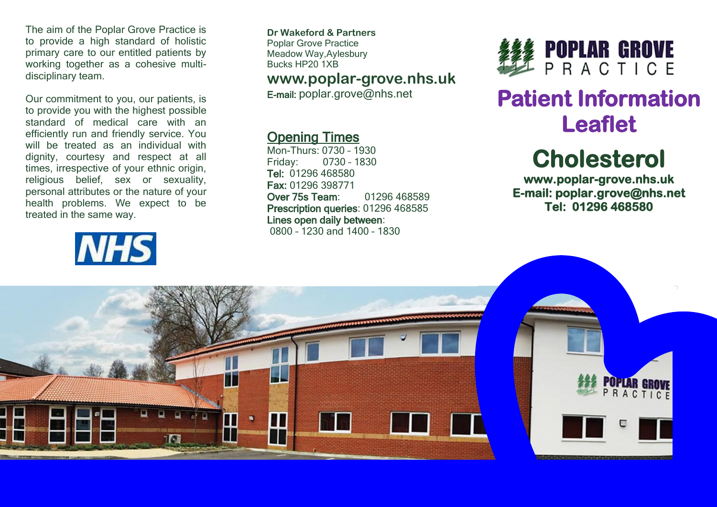The aim of the Poplar Grove Practice is to provide a high standard of holistic primary care to our entitled patients by working together as a cohesive multidisciplinary team.

Our commitment to you, our patients, is to provide you with the highest possible standard of medical care with an efficiently run and friendly service. You will be treated as an individual with dignity, courtesy and respect at all times, irrespective of your ethnic origin, religious belief, sex or sexuality, personal attributes or the nature of your health problems. We expect to be treated in the same way.

# **NHS**

**Dr Wakeford & Partners** Poplar Grove Practice Meadow Way,Aylesbury Bucks HP20 1XB

### **www.poplar-grove.nhs.uk**

E-mail: [poplar.grove@nhs.net](mailto:poplar.grove@nhs.net)

# Opening Times

Mon-Thurs: 0730 – 1930 Friday: 0730 – 1830 Tel: 01296 468580 Fax: 01296 398771 Over 75s Team: 01296 468589 Prescription queries: 01296 468585 Lines open daily between: 0800 – 1230 and 1400 – 1830



# **Patient Information Leaflet**

# **Cholesterol**

**www.poplar-grove.nhs.uk E-mail: poplar.grove@nhs.net Tel: 01296 468580**